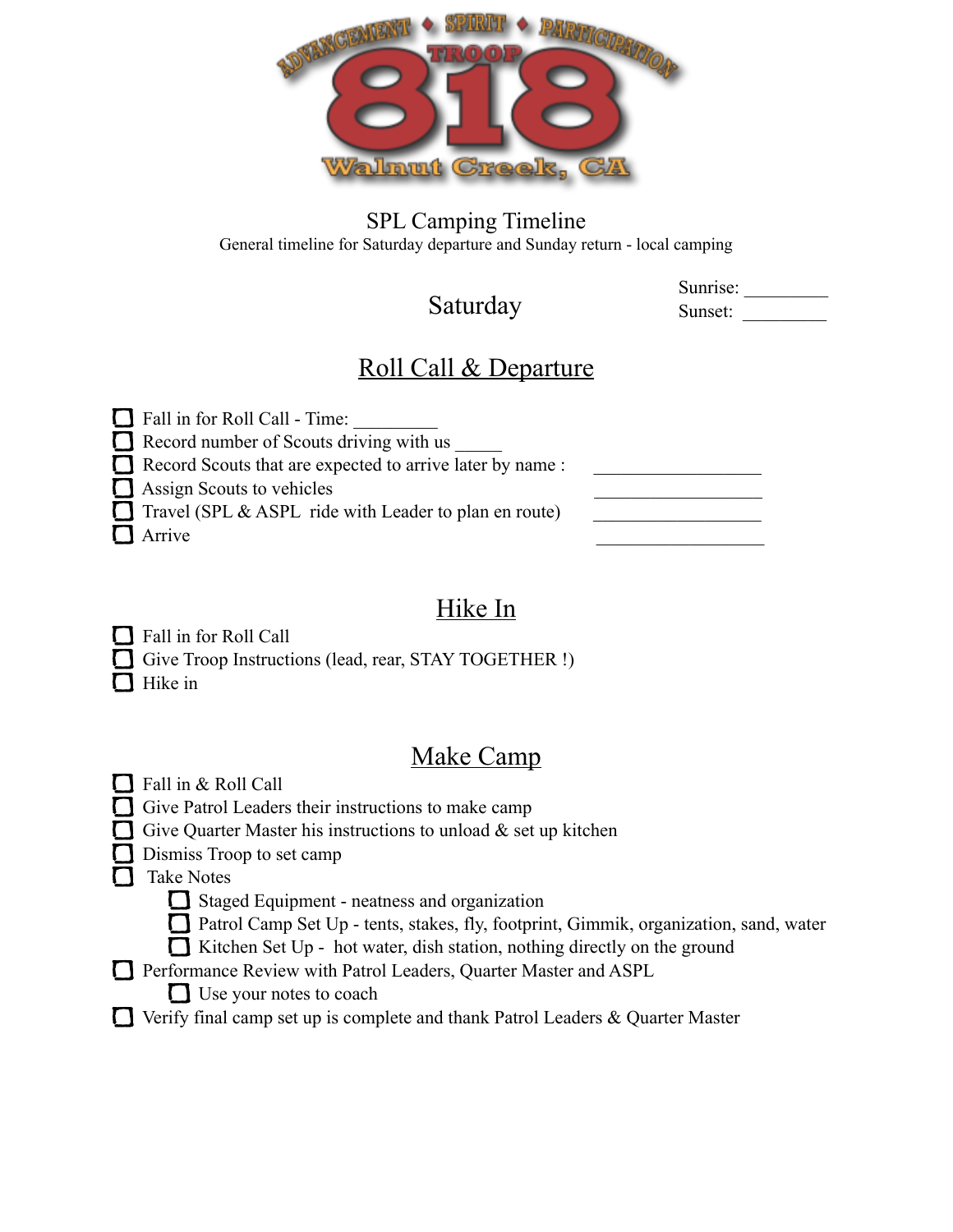

SPL Camping Timeline General timeline for Saturday departure and Sunday return - local camping

#### Saturday

Sunrise: Sunset:

### Roll Call & Departure

 $\Box$  Fall in for Roll Call - Time:  $\Box$  Record number of Scouts driving with us  $\Box$  Record Scouts that are expected to arrive later by name :  $\Box$  Assign Scouts to vehicles Travel (SPL  $&$  ASPL ride with Leader to plan en route) Arrive **Arrive** 

### Hike In

**T** Fall in for Roll Call Give Troop Instructions (lead, rear, STAY TOGETHER !)  $\Box$  Hike in

#### Make Camp

 $\prod$  Fall in & Roll Call

 $\Box$  Give Patrol Leaders their instructions to make camp

Give Quarter Master his instructions to unload  $\&$  set up kitchen

Dismiss Troop to set camp

Take Notes

Staged Equipment - neatness and organization

Patrol Camp Set Up - tents, stakes, fly, footprint, Gimmik, organization, sand, water

 $\Box$  Kitchen Set Up - hot water, dish station, nothing directly on the ground

- **T** Performance Review with Patrol Leaders, Quarter Master and ASPL
	- Use your notes to coach
- $\Box$  Verify final camp set up is complete and thank Patrol Leaders & Quarter Master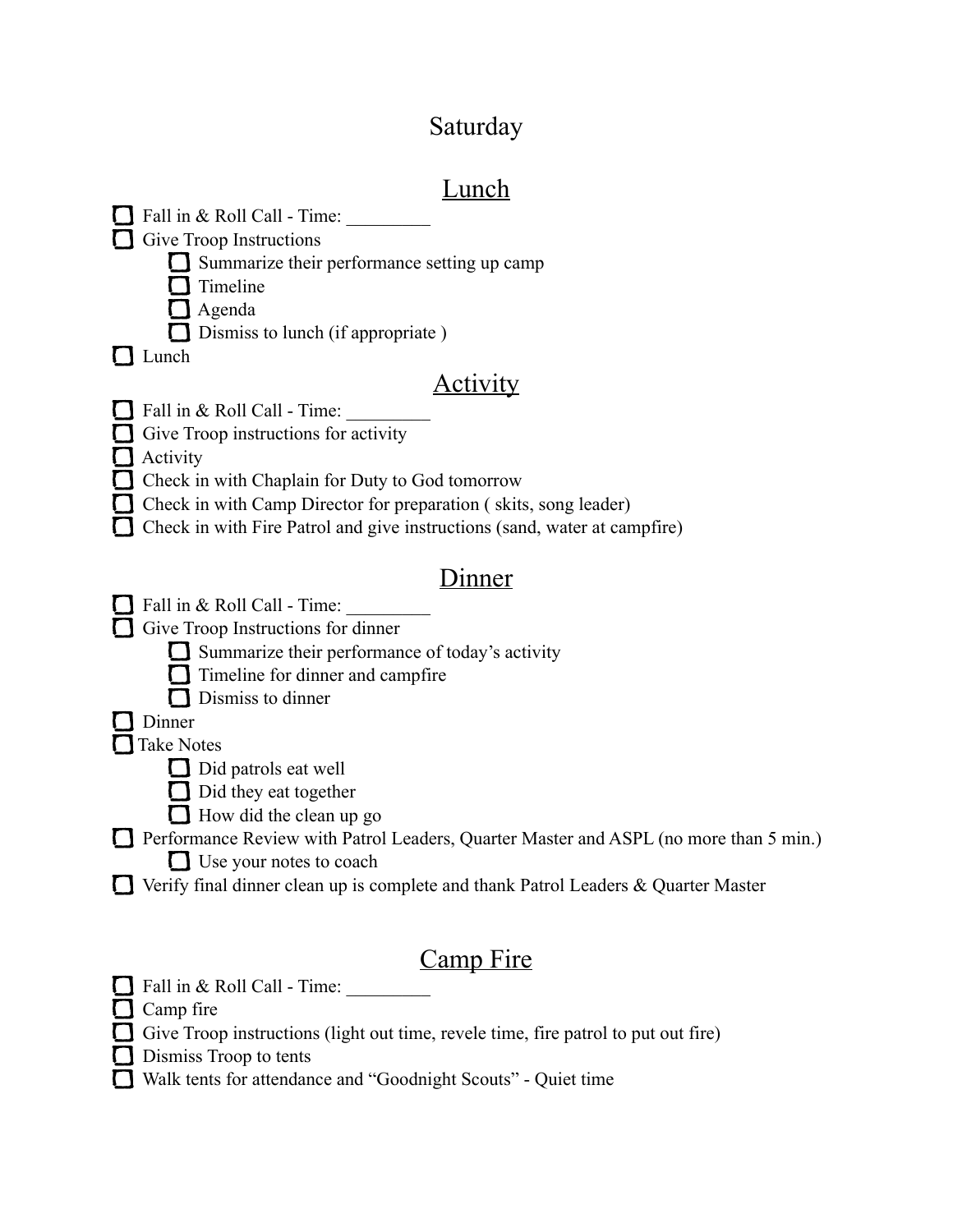## Saturday

# Lunch

| Fall in & Roll Call - Time:                                                           |
|---------------------------------------------------------------------------------------|
| Give Troop Instructions                                                               |
| Summarize their performance setting up camp                                           |
| Timeline                                                                              |
| Agenda                                                                                |
| Dismiss to lunch (if appropriate)                                                     |
| Lunch                                                                                 |
| <u>Activity</u>                                                                       |
| Fall in & Roll Call - Time:                                                           |
| Give Troop instructions for activity                                                  |
| Activity                                                                              |
| Check in with Chaplain for Duty to God tomorrow                                       |
|                                                                                       |
| Check in with Camp Director for preparation (skits, song leader)                      |
| Check in with Fire Patrol and give instructions (sand, water at campfire)             |
| <u>Inner</u>                                                                          |
| Fall in & Roll Call - Time:                                                           |
|                                                                                       |
| Give Troop Instructions for dinner                                                    |
| Summarize their performance of today's activity                                       |
| Timeline for dinner and campfire                                                      |
| Dismiss to dinner                                                                     |
| Dinner                                                                                |
| <b>Take Notes</b>                                                                     |
| Did patrols eat well                                                                  |
| $\Box$ Did they eat together                                                          |
| $\Box$ How did the clean up go                                                        |
|                                                                                       |
| Performance Review with Patrol Leaders, Quarter Master and ASPL (no more than 5 min.) |
| $\Box$ Use your notes to coach                                                        |
| Verify final dinner clean up is complete and thank Patrol Leaders & Quarter Master    |
|                                                                                       |
| <b>Camp</b> Fire                                                                      |
| Fall in & Roll Call - Time:                                                           |
| Camp fire                                                                             |
|                                                                                       |
| Give Troop instructions (light out time, revele time, fire patrol to put out fire)    |
| Dismiss Troop to tents                                                                |
| Walk tents for attendance and "Goodnight Scouts" - Quiet time                         |
|                                                                                       |